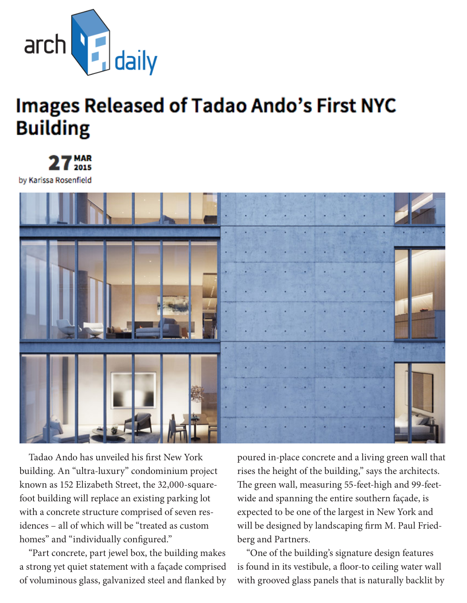

## **Images Released of Tadao Ando's First NYC Building**



by Karissa Rosenfield



Tadao Ando has unveiled his first New York building. An "ultra-luxury" condominium project known as 152 Elizabeth Street, the 32,000-squarefoot building will replace an existing parking lot with a concrete structure comprised of seven residences – all of which will be "treated as custom homes" and "individually configured."

"Part concrete, part jewel box, the building makes a strong yet quiet statement with a façade comprised of voluminous glass, galvanized steel and flanked by

poured in-place concrete and a living green wall that rises the height of the building," says the architects. The green wall, measuring 55-feet-high and 99-feetwide and spanning the entire southern façade, is expected to be one of the largest in New York and will be designed by landscaping firm M. Paul Friedberg and Partners.

"One of the building's signature design features is found in its vestibule, a floor-to ceiling water wall with grooved glass panels that is naturally backlit by